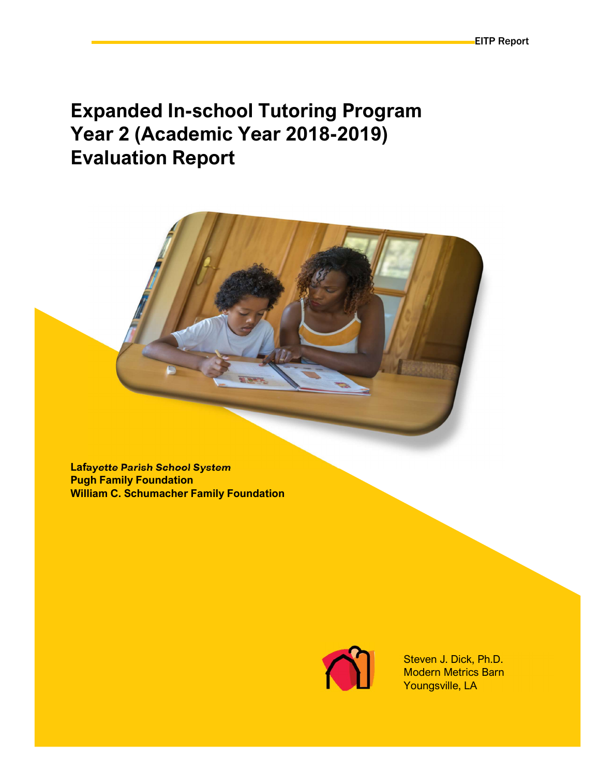# Expanded In-school Tutoring Program Year 2 (Academic Year 2018-2019) Evaluation Report

Lafayette Parish School System Pugh Family Foundation William C. Schumacher Family Foundation



Steven J. Dick, Ph.D. Modern Metrics Barn Youngsville, LA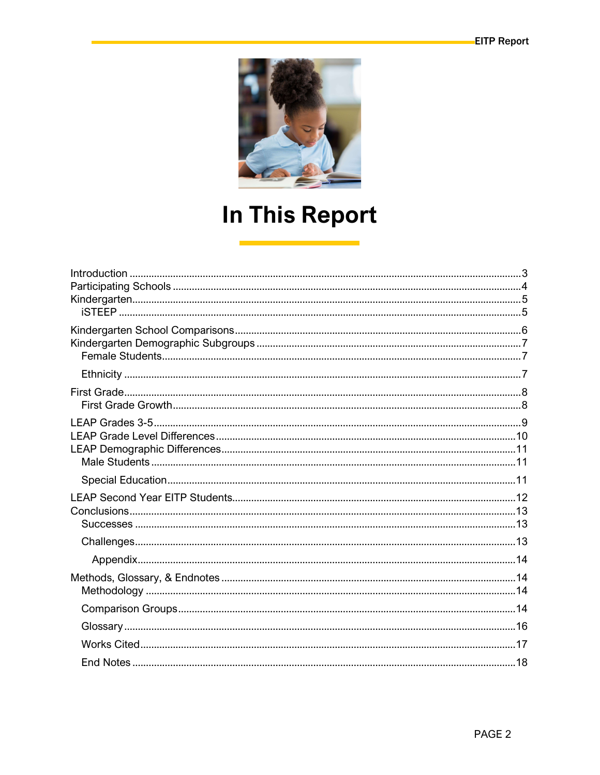

# **In This Report**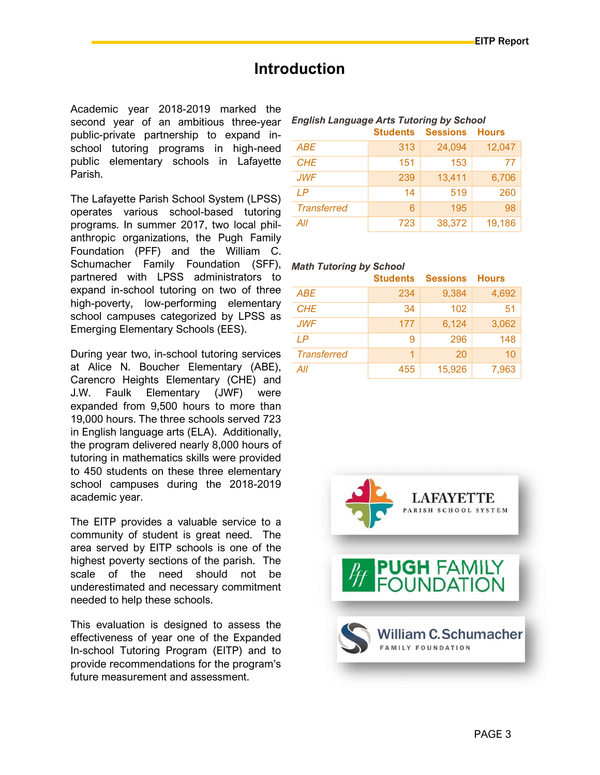### **Introduction**

Academic year 2018-2019 marked the second year of an ambitious three-year public-private partnership to expand inschool tutoring programs in high-need public elementary schools in Lafayette Parish.

The Lafayette Parish School System (LPSS) operates various school-based tutoring programs. In summer 2017, two local philanthropic organizations, the Pugh Family Foundation (PFF) and the William C. Schumacher Family Foundation (SFF), Math Tutoring by School partnered with LPSS administrators to expand in-school tutoring on two of three high-poverty, low-performing elementary school campuses categorized by LPSS as Emerging Elementary Schools (EES).

During year two, in-school tutoring services at Alice N. Boucher Elementary (ABE), Carencro Heights Elementary (CHE) and J.W. Faulk Elementary (JWF) were expanded from 9,500 hours to more than 19,000 hours. The three schools served 723 in English language arts (ELA). Additionally, the program delivered nearly 8,000 hours of tutoring in mathematics skills were provided to 450 students on these three elementary school campuses during the 2018-2019 academic year.

The EITP provides a valuable service to a community of student is great need. The area served by EITP schools is one of the highest poverty sections of the parish. The scale of the need should not be underestimated and necessary commitment needed to help these schools.

This evaluation is designed to assess the effectiveness of year one of the Expanded In-school Tutoring Program (EITP) and to provide recommendations for the program's future measurement and assessment.

| English Language Arts Tutoring by School |  |                                |  |  |  |  |  |
|------------------------------------------|--|--------------------------------|--|--|--|--|--|
|                                          |  | <b>Students Sessions Hours</b> |  |  |  |  |  |
|                                          |  |                                |  |  |  |  |  |

English Language Arts Tutoring by School

| <b>ABE</b>         | 313 | 24,094 | 12,047 |
|--------------------|-----|--------|--------|
| <b>CHE</b>         | 151 | 153    | 77     |
| <b>JWF</b>         | 239 | 13,411 | 6,706  |
| I P                | 14  | 519    | 260    |
| <b>Transferred</b> | 6   | 195    | 98     |
| All                | 723 | 38,372 | 19,186 |

|                    | <b>Students</b> | <b>Sessions</b> | <b>Hours</b> |
|--------------------|-----------------|-----------------|--------------|
| <b>ABE</b>         | 234             | 9,384           | 4,692        |
| <b>CHE</b>         | 34              | 102             | 51           |
| <b>JWF</b>         | 177             | 6,124           | 3,062        |
| IP                 | 9               | 296             | 148          |
| <b>Transferred</b> | 1               | 20              | 10           |
| All                | 455             | 15,926          | 7,963        |

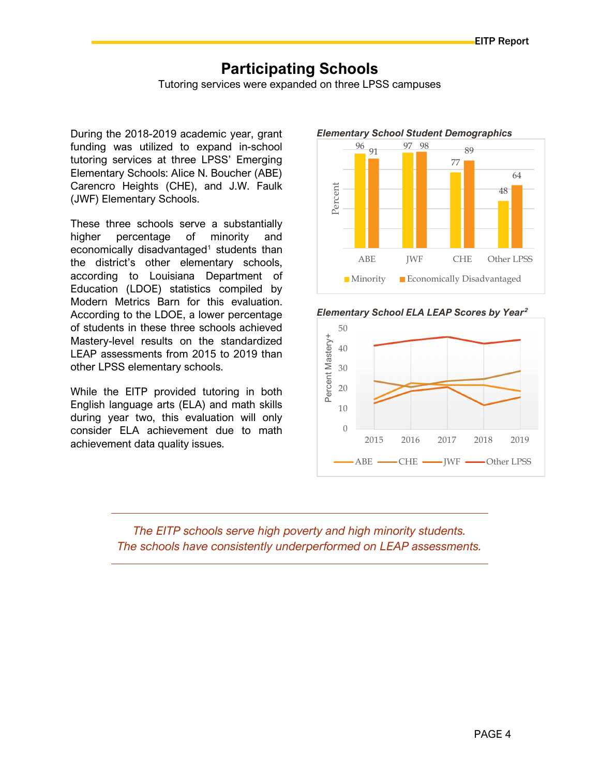### Participating Schools

Tutoring services were expanded on three LPSS campuses

During the 2018-2019 academic year, grant funding was utilized to expand in-school tutoring services at three LPSS' Emerging Elementary Schools: Alice N. Boucher (ABE) Carencro Heights (CHE), and J.W. Faulk (JWF) Elementary Schools.

These three schools serve a substantially higher percentage of minority and economically disadvantaged<sup>1</sup> students than the district's other elementary schools, according to Louisiana Department of Education (LDOE) statistics compiled by Modern Metrics Barn for this evaluation. According to the LDOE, a lower percentage of students in these three schools achieved Mastery-level results on the standardized LEAP assessments from 2015 to 2019 than other LPSS elementary schools.

While the EITP provided tutoring in both English language arts (ELA) and math skills during year two, this evaluation will only consider ELA achievement due to math achievement data quality issues.



#### Elementary School Student Demographics





The EITP schools serve high poverty and high minority students. The schools have consistently underperformed on LEAP assessments.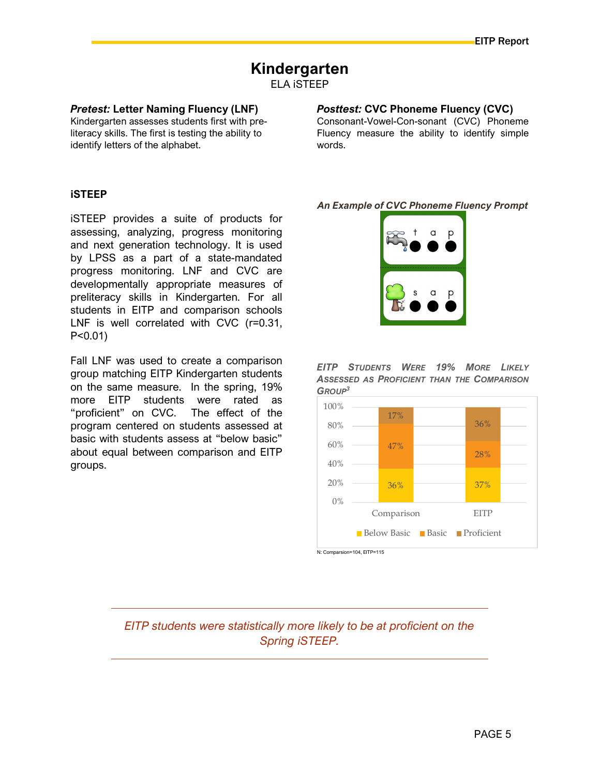### Kindergarten

ELA iSTEEP

#### Pretest: Letter Naming Fluency (LNF)

Kindergarten assesses students first with preliteracy skills. The first is testing the ability to identify letters of the alphabet.

### Posttest: CVC Phoneme Fluency (CVC)

Consonant-Vowel-Con-sonant (CVC) Phoneme Fluency measure the ability to identify simple words.

#### iSTEEP

iSTEEP provides a suite of products for assessing, analyzing, progress monitoring and next generation technology. It is used by LPSS as a part of a state-mandated progress monitoring. LNF and CVC are developmentally appropriate measures of preliteracy skills in Kindergarten. For all students in EITP and comparison schools LNF is well correlated with CVC (r=0.31, P<0.01)

Fall LNF was used to create a comparison group matching EITP Kindergarten students on the same measure. In the spring, 19% more EITP students were rated as "proficient" on CVC. The effect of the program centered on students assessed at basic with students assess at "below basic" about equal between comparison and EITP groups.

An Example of CVC Phoneme Fluency Prompt







EITP students were statistically more likely to be at proficient on the Spring iSTEEP.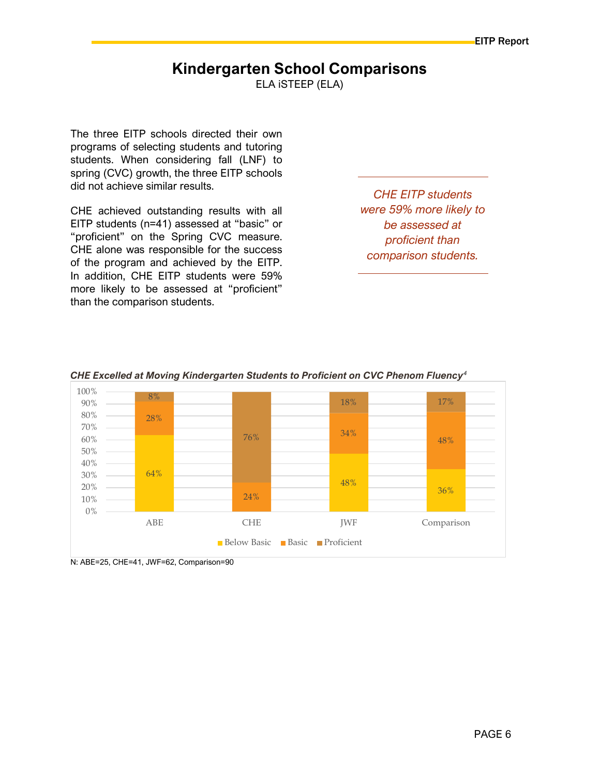### Kindergarten School Comparisons

ELA iSTEEP (ELA)

The three EITP schools directed their own programs of selecting students and tutoring students. When considering fall (LNF) to spring (CVC) growth, the three EITP schools did not achieve similar results.

CHE achieved outstanding results with all EITP students (n=41) assessed at "basic" or "proficient" on the Spring CVC measure. CHE alone was responsible for the success of the program and achieved by the EITP. In addition, CHE EITP students were 59% more likely to be assessed at "proficient" than the comparison students.

CHE EITP students were 59% more likely to be assessed at proficient than comparison students.



#### CHE Excelled at Moving Kindergarten Students to Proficient on CVC Phenom Fluency<sup>4</sup>

N: ABE=25, CHE=41, JWF=62, Comparison=90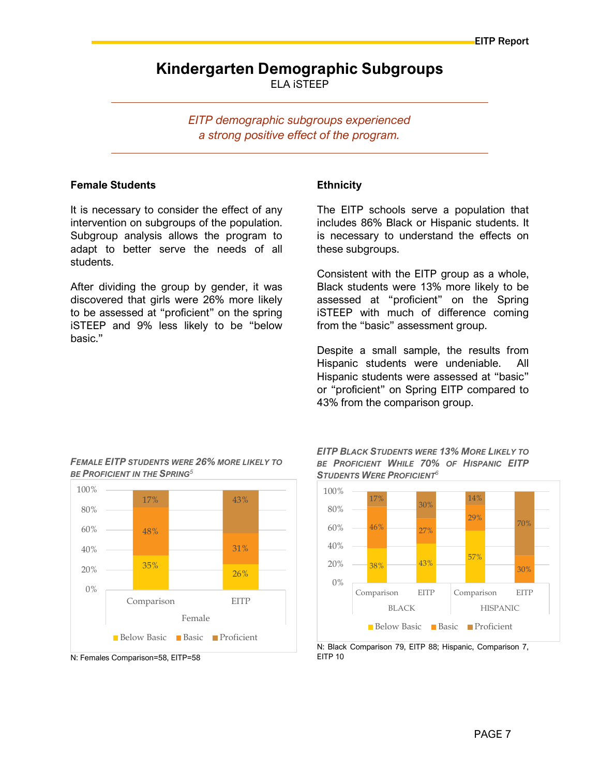### Kindergarten Demographic Subgroups ELA iSTEEP

EITP demographic subgroups experienced a strong positive effect of the program.

#### Female Students

It is necessary to consider the effect of any intervention on subgroups of the population. Subgroup analysis allows the program to adapt to better serve the needs of all students.

After dividing the group by gender, it was discovered that girls were 26% more likely to be assessed at "proficient" on the spring iSTEEP and 9% less likely to be "below basic."

#### **Ethnicity**

The EITP schools serve a population that includes 86% Black or Hispanic students. It is necessary to understand the effects on these subgroups.

Consistent with the EITP group as a whole, Black students were 13% more likely to be assessed at "proficient" on the Spring iSTEEP with much of difference coming from the "basic" assessment group.

Despite a small sample, the results from Hispanic students were undeniable. All Hispanic students were assessed at "basic" or "proficient" on Spring EITP compared to 43% from the comparison group.



FEMALE EITP STUDENTS WERE 26% MORE LIKELY TO

BE PROFICIENT IN THE SPRING<sup>5</sup>

EITP BLACK STUDENTS WERE 13% MORE LIKELY TO BE PROFICIENT WHILE 70% OF HISPANIC EITP STUDENTS WERE PROFICIENT<sup>6</sup>



N: Black Comparison 79, EITP 88; Hispanic, Comparison 7, EITP 10

N: Females Comparison=58, EITP=58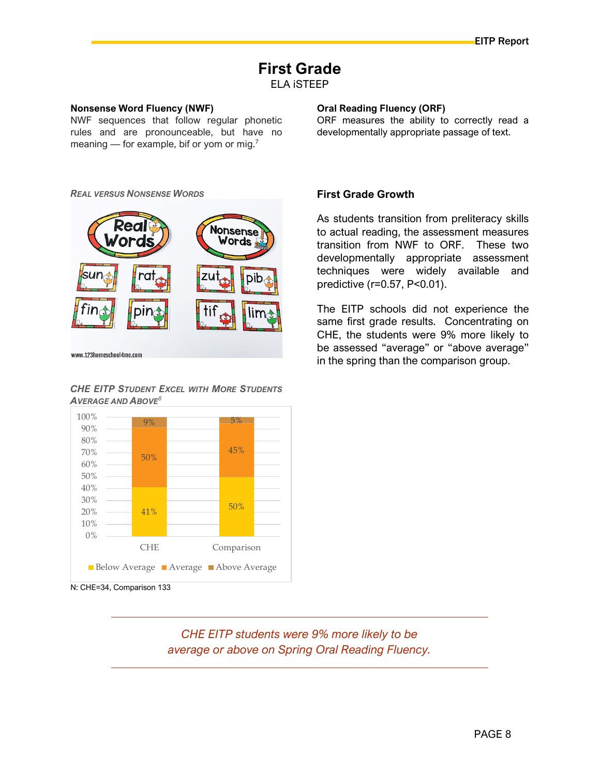### First Grade

ELA iSTEEP

#### Nonsense Word Fluency (NWF)

NWF sequences that follow regular phonetic rules and are pronounceable, but have no meaning — for example, bif or yom or mig.<sup>7</sup>

#### REAL VERSUS NONSENSE WORDS



#### CHE EITP STUDENT EXCEL WITH MORE STUDENTS  $A$ VERAGE AND  $A$ BOVE<sup>8</sup>



N: CHE=34, Comparison 133

CHE EITP students were 9% more likely to be average or above on Spring Oral Reading Fluency.

#### Oral Reading Fluency (ORF)

ORF measures the ability to correctly read a developmentally appropriate passage of text.

#### First Grade Growth

As students transition from preliteracy skills to actual reading, the assessment measures transition from NWF to ORF. These two developmentally appropriate assessment techniques were widely available and predictive (r=0.57, P<0.01).

The EITP schools did not experience the same first grade results. Concentrating on CHE, the students were 9% more likely to be assessed "average" or "above average" in the spring than the comparison group.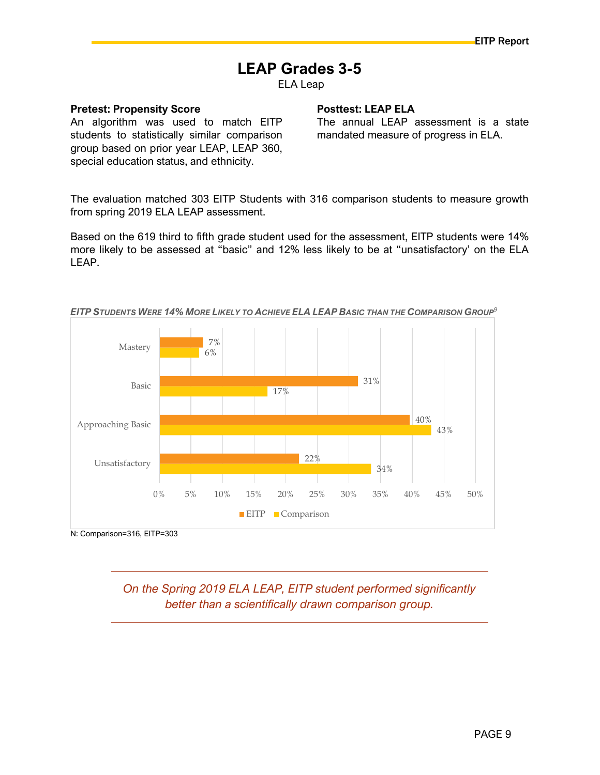### LEAP Grades 3-5

ELA Leap

#### Pretest: Propensity Score

An algorithm was used to match EITP students to statistically similar comparison group based on prior year LEAP, LEAP 360, special education status, and ethnicity.

#### Posttest: LEAP ELA

The annual LEAP assessment is a state mandated measure of progress in ELA.

The evaluation matched 303 EITP Students with 316 comparison students to measure growth from spring 2019 ELA LEAP assessment.

Based on the 619 third to fifth grade student used for the assessment, EITP students were 14% more likely to be assessed at "basic" and 12% less likely to be at "unsatisfactory' on the ELA LEAP.



EITP STUDENTS WERE 14% MORE LIKELY TO ACHIEVE ELA LEAP BASIC THAN THE COMPARISON GROUP<sup>9</sup>

N: Comparison=316, EITP=303

On the Spring 2019 ELA LEAP, EITP student performed significantly better than a scientifically drawn comparison group.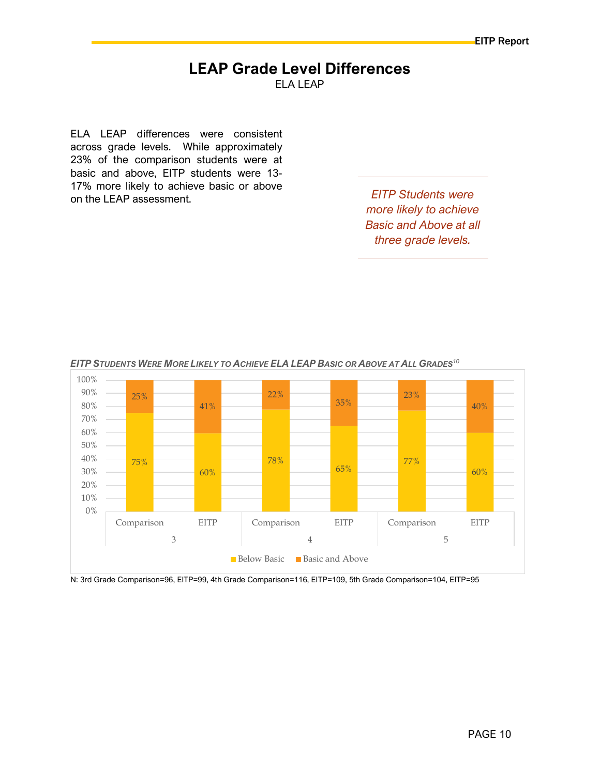#### LEAP Grade Level Differences ELA LEAP

ELA LEAP differences were consistent across grade levels. While approximately 23% of the comparison students were at basic and above, EITP students were 13- 17% more likely to achieve basic or above on the LEAP assessment.

more likely to achieve Basic and Above at all three grade levels.



EITP STUDENTS WERE MORE LIKELY TO ACHIEVE ELA LEAP BASIC OR ABOVE AT ALL GRADES<sup>10</sup>

N: 3rd Grade Comparison=96, EITP=99, 4th Grade Comparison=116, EITP=109, 5th Grade Comparison=104, EITP=95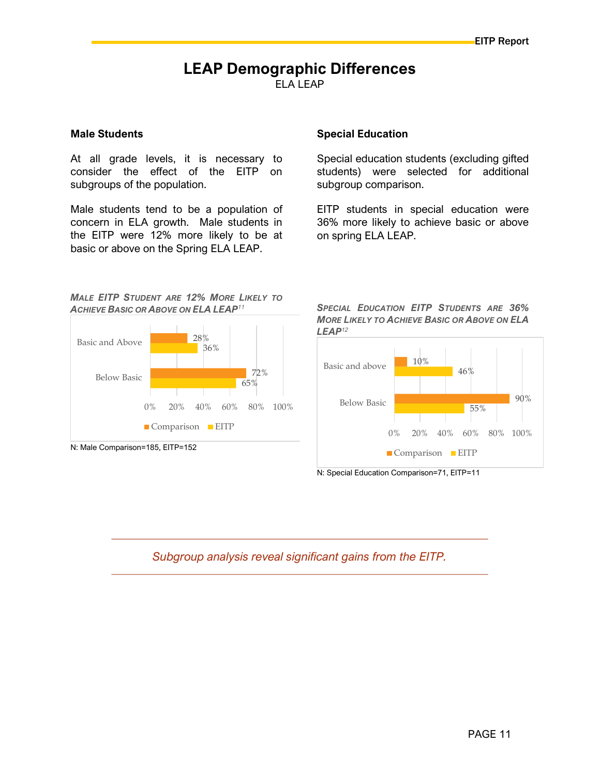#### LEAP Demographic Differences ELA LEAP

#### Male Students

At all grade levels, it is necessary to consider the effect of the EITP on subgroups of the population.

Male students tend to be a population of concern in ELA growth. Male students in the EITP were 12% more likely to be at basic or above on the Spring ELA LEAP.

#### Special Education

Special education students (excluding gifted students) were selected for additional subgroup comparison.

EITP students in special education were 36% more likely to achieve basic or above on spring ELA LEAP.

#### MALE EITP STUDENT ARE 12% MORE LIKELY TO **ACHIEVE BASIC OR ABOVE ON ELA LEAP<sup>11</sup>**



N: Male Comparison=185, EITP=152

SPECIAL EDUCATION EITP STUDENTS ARE 36% MORE LIKELY TO ACHIEVE BASIC OR ABOVE ON ELA LEAP<sup>12</sup>



N: Special Education Comparison=71, EITP=11

Subgroup analysis reveal significant gains from the EITP.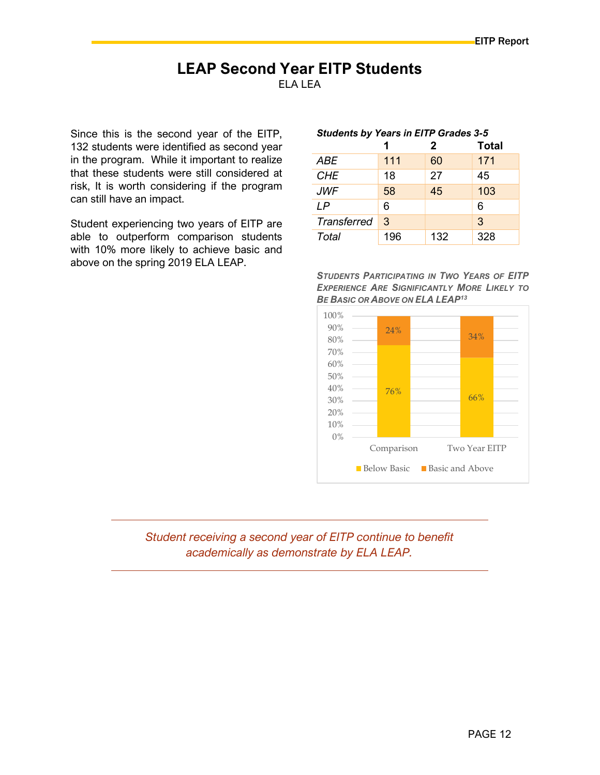#### LEAP Second Year EITP Students ELA LEA

Since this is the second year of the EITP, 132 students were identified as second year in the program. While it important to realize that these students were still considered at risk, It is worth considering if the program can still have an impact.

Student experiencing two years of EITP are able to outperform comparison students with 10% more likely to achieve basic and above on the spring 2019 ELA LEAP.

#### Students by Years in EITP Grades 3-5

|                    |     | $\mathbf{2}$ | <b>Total</b> |
|--------------------|-----|--------------|--------------|
| ABE                | 111 | 60           | 171          |
| <b>CHE</b>         | 18  | 27           | 45           |
| <b>JWF</b>         | 58  | 45           | 103          |
| IP                 | 6   |              | 6            |
| <b>Transferred</b> | 3   |              | 3            |
| Total              | 196 | 132          | 328          |

STUDENTS PARTICIPATING IN TWO YEARS OF EITP EXPERIENCE ARE SIGNIFICANTLY MORE LIKELY TO BE BASIC OR ABOVE ON ELA LEAP<sup>13</sup>



#### Student receiving a second year of EITP continue to benefit academically as demonstrate by ELA LEAP.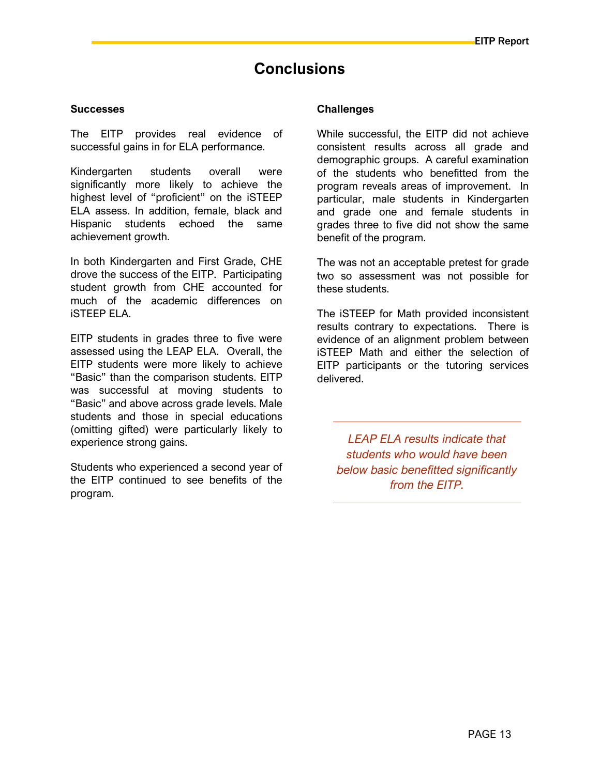### **Conclusions**

#### **Successes**

The EITP provides real evidence of successful gains in for ELA performance.

Kindergarten students overall were significantly more likely to achieve the highest level of "proficient" on the iSTEEP ELA assess. In addition, female, black and Hispanic students echoed the same achievement growth.

In both Kindergarten and First Grade, CHE drove the success of the EITP. Participating student growth from CHE accounted for much of the academic differences on iSTEEP ELA.

EITP students in grades three to five were assessed using the LEAP ELA. Overall, the EITP students were more likely to achieve "Basic" than the comparison students. EITP was successful at moving students to "Basic" and above across grade levels. Male students and those in special educations (omitting gifted) were particularly likely to experience strong gains.

Students who experienced a second year of the EITP continued to see benefits of the program.

#### **Challenges**

While successful, the EITP did not achieve consistent results across all grade and demographic groups. A careful examination of the students who benefitted from the program reveals areas of improvement. In particular, male students in Kindergarten and grade one and female students in grades three to five did not show the same benefit of the program.

The was not an acceptable pretest for grade two so assessment was not possible for these students.

The iSTEEP for Math provided inconsistent results contrary to expectations. There is evidence of an alignment problem between iSTEEP Math and either the selection of EITP participants or the tutoring services delivered.

LEAP ELA results indicate that students who would have been below basic benefitted significantly from the EITP.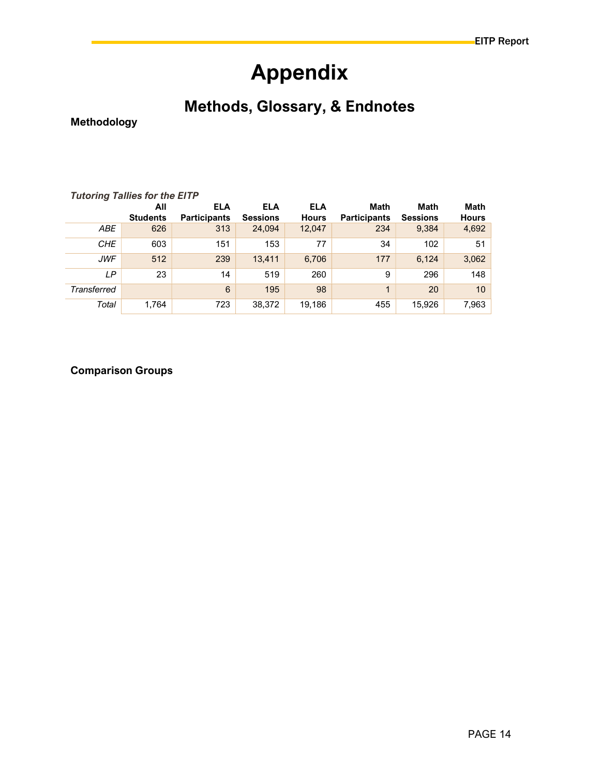# Appendix

## Methods, Glossary, & Endnotes

Methodology

| <b>Tutoring Tallies for the EITP</b> |                 |                     |                 |              |                     |                 |              |
|--------------------------------------|-----------------|---------------------|-----------------|--------------|---------------------|-----------------|--------------|
|                                      | All             | <b>ELA</b>          | <b>ELA</b>      | <b>ELA</b>   | Math                | Math            | Math         |
|                                      | <b>Students</b> | <b>Participants</b> | <b>Sessions</b> | <b>Hours</b> | <b>Participants</b> | <b>Sessions</b> | <b>Hours</b> |
| <b>ABE</b>                           | 626             | 313                 | 24.094          | 12,047       | 234                 | 9,384           | 4,692        |
| <b>CHE</b>                           | 603             | 151                 | 153             | 77           | 34                  | 102             | 51           |
| <b>JWF</b>                           | 512             | 239                 | 13.411          | 6,706        | 177                 | 6.124           | 3,062        |
| LP                                   | 23              | 14                  | 519             | 260          | 9                   | 296             | 148          |
| <b>Transferred</b>                   |                 | $6\phantom{1}6$     | 195             | 98           | 1                   | 20              | 10           |
| Total                                | 1,764           | 723                 | 38,372          | 19,186       | 455                 | 15,926          | 7,963        |

#### Comparison Groups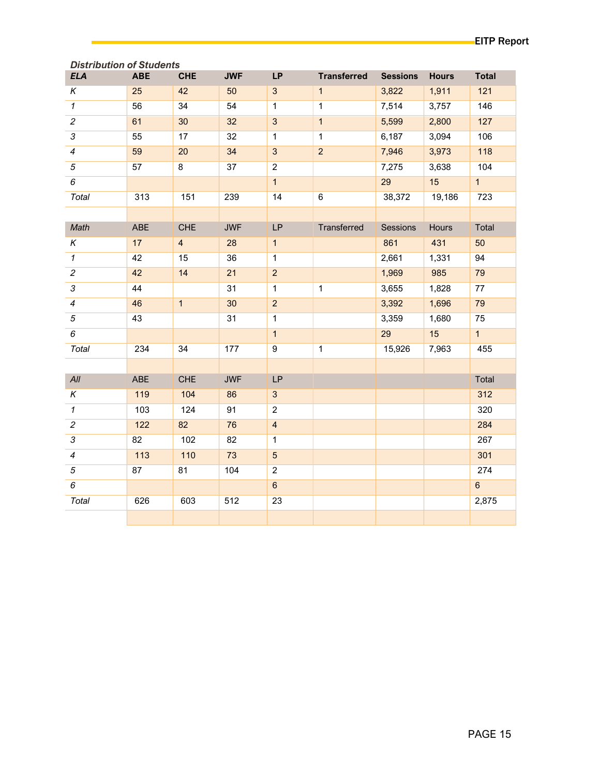| <b>Distribution of Students</b> |            |                |            |                |                    |                 |              |                |
|---------------------------------|------------|----------------|------------|----------------|--------------------|-----------------|--------------|----------------|
| <b>ELA</b>                      | <b>ABE</b> | <b>CHE</b>     | <b>JWF</b> | <b>LP</b>      | <b>Transferred</b> | <b>Sessions</b> | <b>Hours</b> | <b>Total</b>   |
| Κ                               | 25         | 42             | 50         | 3 <sup>1</sup> | $\mathbf{1}$       | 3,822           | 1,911        | 121            |
| $\mathbf{1}$                    | 56         | 34             | 54         | $\mathbf{1}$   | $\mathbf{1}$       | 7,514           | 3,757        | 146            |
| $\overline{a}$                  | 61         | 30             | 32         | $\mathbf{3}$   | $\mathbf{1}$       | 5,599           | 2,800        | 127            |
| 3                               | 55         | 17             | 32         | $\mathbf{1}$   | $\mathbf{1}$       | 6,187           | 3,094        | 106            |
| $\overline{4}$                  | 59         | 20             | 34         | $\mathbf{3}$   | $\overline{a}$     | 7,946           | 3,973        | 118            |
| 5                               | 57         | 8              | 37         | $\overline{2}$ |                    | 7,275           | 3,638        | 104            |
| 6                               |            |                |            | $\overline{1}$ |                    | 29              | 15           | $\overline{1}$ |
| Total                           | 313        | 151            | 239        | 14             | 6                  | 38,372          | 19,186       | 723            |
|                                 |            |                |            |                |                    |                 |              |                |
| Math                            | ABE        | <b>CHE</b>     | <b>JWF</b> | LP             | Transferred        | Sessions        | Hours        | Total          |
| $\overline{\kappa}$             | 17         | $\overline{4}$ | 28         | $\mathbf{1}$   |                    | 861             | 431          | 50             |
| $\mathbf{1}$                    | 42         | 15             | 36         | $\mathbf{1}$   |                    | 2,661           | 1,331        | 94             |
| $\overline{c}$                  | 42         | 14             | 21         | $\overline{2}$ |                    | 1,969           | 985          | 79             |
| 3                               | 44         |                | 31         | $\overline{1}$ | $\mathbf{1}$       | 3,655           | 1,828        | 77             |
| $\overline{\mathcal{A}}$        | 46         | 1              | 30         | $\overline{2}$ |                    | 3,392           | 1,696        | 79             |
| $\sqrt{5}$                      | 43         |                | 31         | $\overline{1}$ |                    | 3,359           | 1,680        | 75             |
| 6                               |            |                |            | $\mathbf{1}$   |                    | 29              | 15           | 1              |
| Total                           | 234        | 34             | 177        | 9              | $\mathbf{1}$       | 15,926          | 7,963        | 455            |
|                                 |            |                |            |                |                    |                 |              |                |
| All                             | ABE        | <b>CHE</b>     | <b>JWF</b> | <b>LP</b>      |                    |                 |              | Total          |
| $\kappa$                        | 119        | 104            | 86         | $\mathbf{3}$   |                    |                 |              | 312            |
| $\mathbf{1}$                    | 103        | 124            | 91         | $\overline{2}$ |                    |                 |              | 320            |
| $\overline{2}$                  | $122$      | 82             | 76         | $\overline{4}$ |                    |                 |              | 284            |
| 3                               | 82         | 102            | 82         | $\mathbf{1}$   |                    |                 |              | 267            |
| $\overline{4}$                  | $113$      | $110$          | 73         | $\overline{5}$ |                    |                 |              | 301            |
| $\sqrt{5}$                      | 87         | 81             | 104        | $\overline{2}$ |                    |                 |              | 274            |
| 6                               |            |                |            | $6\phantom{a}$ |                    |                 |              | $6\phantom{a}$ |
| Total                           | 626        | 603            | 512        | 23             |                    |                 |              | 2,875          |
|                                 |            |                |            |                |                    |                 |              |                |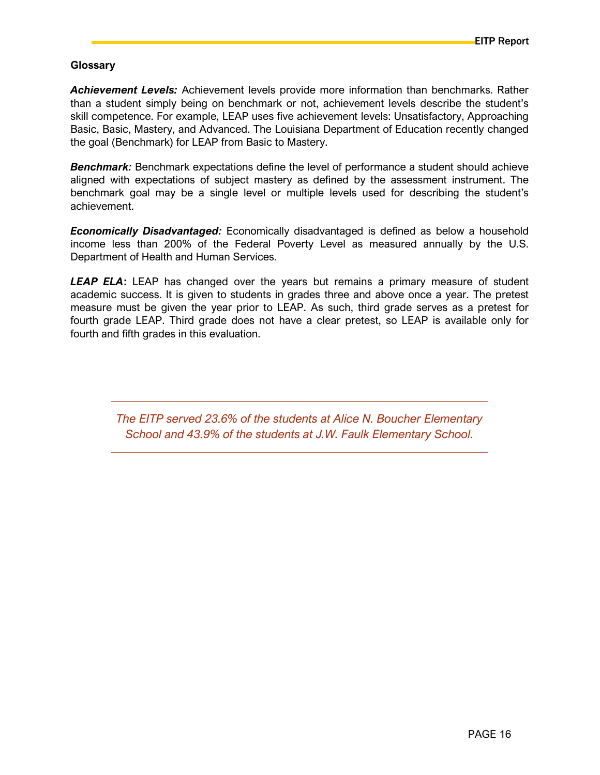#### Glossary

Achievement Levels: Achievement levels provide more information than benchmarks. Rather than a student simply being on benchmark or not, achievement levels describe the student's skill competence. For example, LEAP uses five achievement levels: Unsatisfactory, Approaching Basic, Basic, Mastery, and Advanced. The Louisiana Department of Education recently changed the goal (Benchmark) for LEAP from Basic to Mastery.

**Benchmark:** Benchmark expectations define the level of performance a student should achieve aligned with expectations of subject mastery as defined by the assessment instrument. The benchmark goal may be a single level or multiple levels used for describing the student's achievement.

**Economically Disadvantaged:** Economically disadvantaged is defined as below a household income less than 200% of the Federal Poverty Level as measured annually by the U.S. Department of Health and Human Services.

**LEAP ELA:** LEAP has changed over the years but remains a primary measure of student academic success. It is given to students in grades three and above once a year. The pretest measure must be given the year prior to LEAP. As such, third grade serves as a pretest for fourth grade LEAP. Third grade does not have a clear pretest, so LEAP is available only for fourth and fifth grades in this evaluation.

The EITP served 23.6% of the students at Alice N. Boucher Elementary School and 43.9% of the students at J.W. Faulk Elementary School.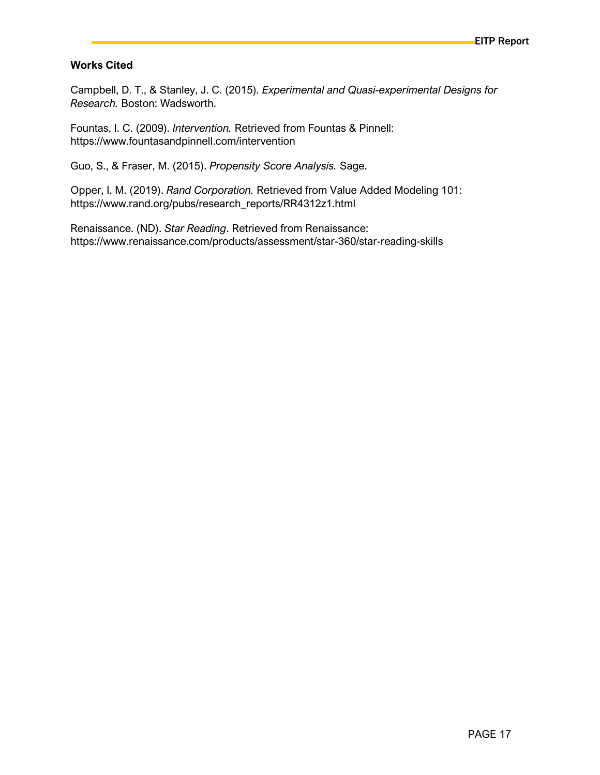#### Works Cited

Campbell, D. T., & Stanley, J. C. (2015). Experimental and Quasi-experimental Designs for Research. Boston: Wadsworth.

Fountas, I. C. (2009). Intervention. Retrieved from Fountas & Pinnell: https://www.fountasandpinnell.com/intervention

Guo, S., & Fraser, M. (2015). Propensity Score Analysis. Sage.

Opper, I. M. (2019). Rand Corporation. Retrieved from Value Added Modeling 101: https://www.rand.org/pubs/research\_reports/RR4312z1.html

Renaissance. (ND). Star Reading. Retrieved from Renaissance: https://www.renaissance.com/products/assessment/star-360/star-reading-skills